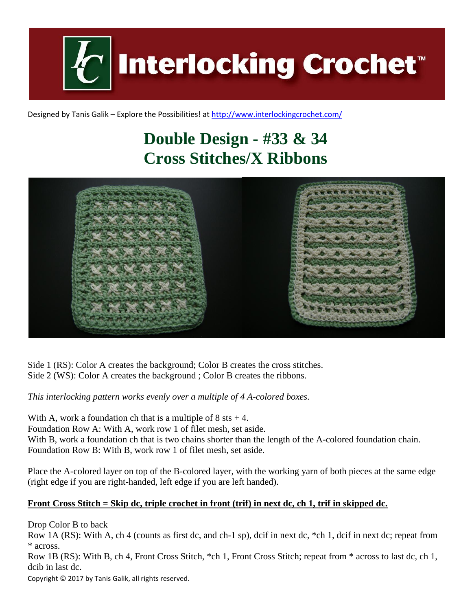

Designed by Tanis Galik – Explore the Possibilities! a[t http://www.interlockingcrochet.com/](http://www.interlockingcrochet.com/)

## **Double Design - #33 & 34 Cross Stitches/X Ribbons**



Side 1 (RS): Color A creates the background; Color B creates the cross stitches. Side 2 (WS): Color A creates the background ; Color B creates the ribbons.

*This interlocking pattern works evenly over a multiple of 4 A-colored boxes.*

With A, work a foundation ch that is a multiple of  $8$  sts  $+4$ . Foundation Row A: With A, work row 1 of filet mesh, set aside. With B, work a foundation ch that is two chains shorter than the length of the A-colored foundation chain. Foundation Row B: With B, work row 1 of filet mesh, set aside.

Place the A-colored layer on top of the B-colored layer, with the working yarn of both pieces at the same edge (right edge if you are right-handed, left edge if you are left handed).

## **Front Cross Stitch = Skip dc, triple crochet in front (trif) in next dc, ch 1, trif in skipped dc.**

Drop Color B to back

Row 1A (RS): With A, ch 4 (counts as first dc, and ch-1 sp), dcif in next dc, \*ch 1, dcif in next dc; repeat from \* across.

Row 1B (RS): With B, ch 4, Front Cross Stitch, \*ch 1, Front Cross Stitch; repeat from \* across to last dc, ch 1, dcib in last dc.

Copyright © 2017 by Tanis Galik, all rights reserved.